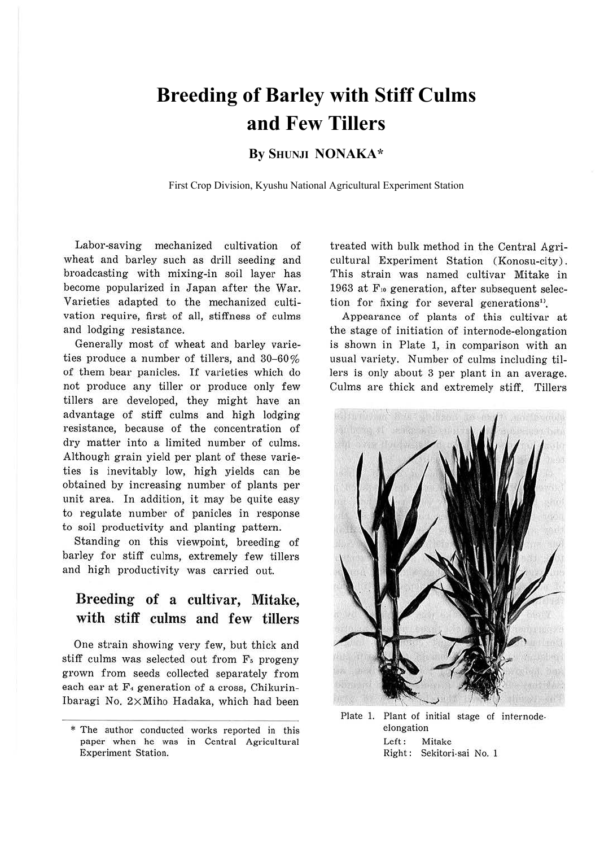# **Breeding of Barley with Stiff Culms and Few Tillers**

### **By SHUNJI NONAKA\***

First Crop Division, Kyushu National Agricultural Experiment Station

Labor-saving mechanized cultivation of wheat and barley such as drill seeding and broadcasting with mixing-in soil layer has become popularized in Japan after the War. Varieties adapted to the mechanized cultivation require, first of all, stiffness of culms and lodging resistance.

Generally most of wheat and barley varieties produce a number of tillers, and  $30-60\%$ of them bear panicles. If varieties which do not produce any tiller or produce only few tillers are developed, they might have an advantage of stiff culms and high lodging resistance, because of the concentration of dry matter into a limited number of culms. Although grain yield per plant of these varieties is inevitably low, high yields can be obtained by increasing number of plants per unit area. In addition, it may be quite easy to regulate number of panicles in response to soil productivity and planting pattern.

Standing on this viewpoint, breeding of barley for stiff culms, extremely few tillers and high productivity was carried out.

### **Breeding of a cultivar, Mitake, with stiff culms and few tillers**

One strain showing very few, but thick and stiff culms was selected out from F<sub>s</sub> progeny grown from seeds collected separately from each ear at  $F_4$  generation of a cross, Chikurin-Ibaragi No. 2xMiho Hadaka, which had been treated with bulk method in the Central Agricultural Experiment Station (Konosu-city). This strain was named cultivar Mitake in 1963 at F<sub>10</sub> generation, after subsequent selection for fixing for several generations<sup>1</sup>.

Appearance of plants of this cultivar at the stage of initiation of internode-elongation is shown in Plate l, in comparison with an usual variety. Number of culms including tillers is only about 3 per plant in an average. Culms are thick and extremely stiff. Tillers



Plate 1. Plant of initial stage of internodeelongation Left: Mitake Right : Sekitori-sai No. 1

<sup>\*</sup> The author conducted works reported in this paper when he was in Central Agricultural Experiment Station.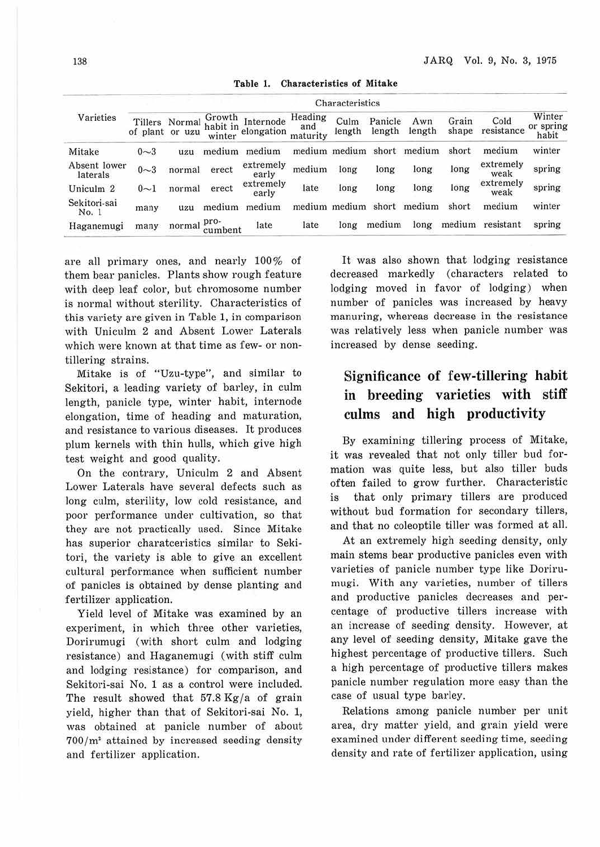| Varieties                | Characteristics |                |         |                                  |                            |                |                   |               |                |                    |                              |
|--------------------------|-----------------|----------------|---------|----------------------------------|----------------------------|----------------|-------------------|---------------|----------------|--------------------|------------------------------|
|                          | of plant or uzu | Tillers Normal | Growth  | Internode<br>habit in elongation | Heading<br>and<br>maturity | Culm<br>length | Panicle<br>length | Awn<br>length | Grain<br>shape | Cold<br>resistance | Winter<br>or spring<br>habit |
| Mitake                   | $0 - 3$         | uzu            | medium  | medium                           | medium medium              |                | short             | medium        | short          | medium             | winter                       |
| Absent lower<br>laterals | $0 - 3$         | normal         | erect   | extremely<br>early               | medium                     | long           | long              | long          | long           | extremely<br>weak  | spring                       |
| Uniculm <sub>2</sub>     | $0\sim1$        | normal         | erect   | extremely<br>early               | late                       | long           | long              | long          | long           | extremely<br>weak  | spring                       |
| Sekitori-sai<br>No. 1    | many            | uzu            | medium  | medium                           | medium medium              |                | short             | medium        | short          | medium             | winter                       |
| Haganemugi               | many            | normal pro-    | cumbent | late                             | late                       | long           | medium            | long          | medium         | resistant          | spring                       |

**Table 1. Characteristics of Mitake** 

are all primary ones, and nearly 100% of them bear panicles. Plants show rough feature with deep leaf color, but chromosome number is normal without sterility. Characteristics of this variety are given in Table 1, in comparison with Uniculm 2 and Absent Lower Laterals which were known at that time as few- or nontillering strains.

Mitake is of "Uzu-type", and similar to Sekitori, a leading variety of barley, in culm length, panicle type, winter habit, internode elongation, time of heading and maturation, and resistance to various diseases. It produces plum kernels with thin hulls, which give high test weight and good quality.

On the contrary, Uniculm 2 and Absent Lower Laterals have several defects such as long culm, sterility, low cold resistance, and poor performance under cultivation, so that they are not practically used. Since Mitake has superior charatceristics similar to Sekitori, the variety is able to give an excellent cultural performance when sufficient number of panicles is obtained by dense planting and fertilizer application.

Yield level of Mitake was examined by an experiment, in which three other varieties, Dorirumugi (with short culm and lodging resistance) and Haganemugi (with stiff culm and lodging resistance) for comparison, and Sekitori-sai No. 1 as a control were included. The result showed that  $57.8 \text{ Kg/a}$  of grain yield, higher than that of Sekitori-sai No. 1, was obtained at panicle number of about  $700/m<sup>2</sup>$  attained by increased seeding density and fertilizer application.

It was also shown that lodging resistance decreased markedly (characters related to lodging moved in favor of lodging) when number of panicles was increased by heavy manuring, whereas decrease in the resistance was relatively less when panicle number was increased by dense seeding.

## **Significance of few-tillering habit in breeding varieties with stiff culms and high productivity**

By examining tillering process of Mitake, it was revealed that not only tiller bud formation was quite Jess, but also tiller buds often failed to grow further. Characteristic is that only primary tillers are produced without bud formation for secondary tillers, and that no coleoptile tiller was formed at all.

At an extremely high seeding density, only main stems bear productive panicles even with varieties of panicle number type like Dorirumugi. With any varieties, number of tillers and productive panicles decreases and percentage of productive tillers increase with an increase of seeding density. However, at any level of seeding density, Mitake gave the highest percentage of productive tillers. Such a high percentage of productive tillers makes panicle number regulation more easy than the case of usual type barley.

Relations among panicle number per unit area, dry matter yield, and grain yield were examined under different seeding time, seeding density and rate of fertilizer application, using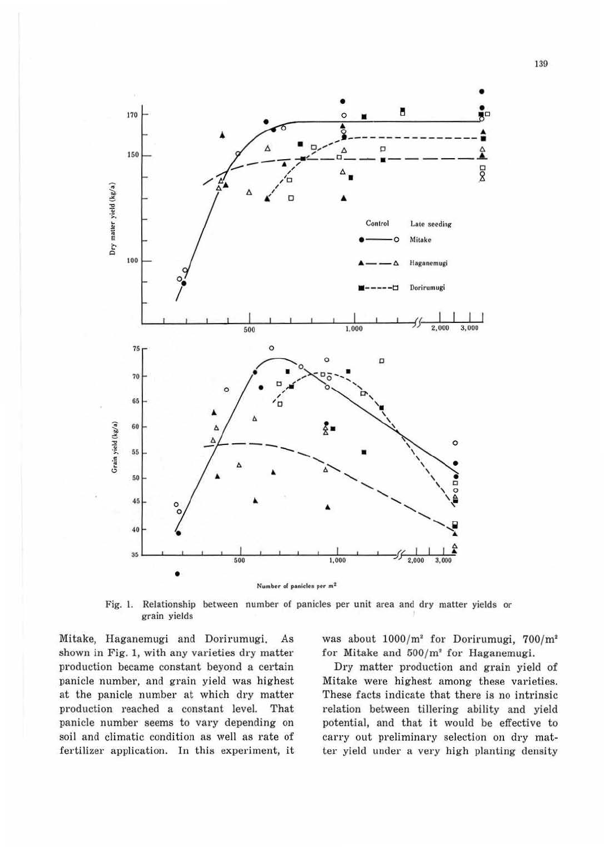

Fig. 1. Relationship between number of panicles per unit area and dry matter yields or grain yields

Mitake, Haganemugi and Dorirumugi.  $As$ shown in Fig. 1, with any varieties dry matter production became constant beyond a certain panicle number, and grain yield was highest at the panicle number at which dry matter production reached a constant level. That panicle number seems to vary depending on soil and climatic condition as well as rate of fertilizer application. In this experiment, it was about  $1000/m^2$  for Dorirumugi,  $700/m^2$ for Mitake and  $500/m^2$  for Haganemugi.

Dry matter production and grain yield of Mitake were highest among these varieties. These facts indicate that there is no intrinsic relation between tillering ability and yield potential, and that it would be effective to carry out preliminary selection on dry matter yield under a very high planting density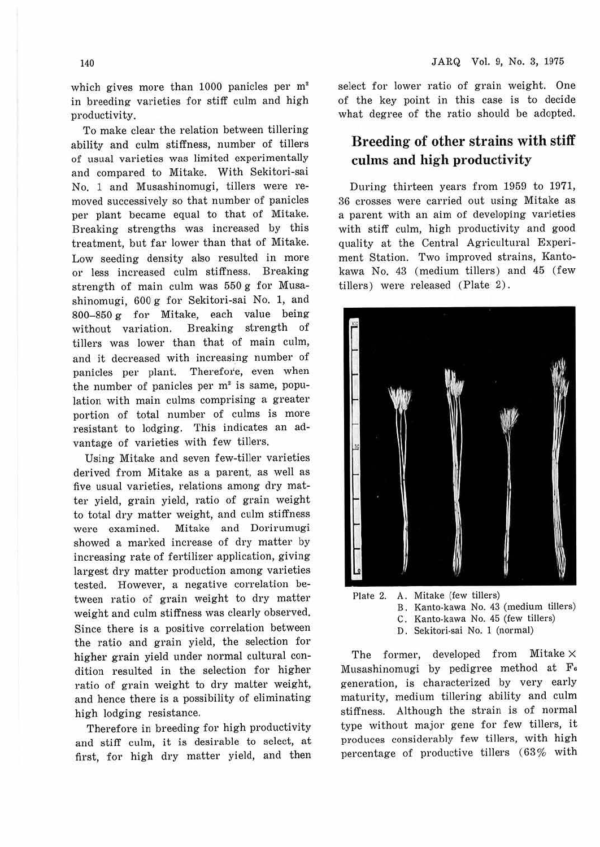which gives more than 1000 panicles per m<sup>2</sup> in breeding varieties for stiff culm and high productivity.

To make clear the relation between tillering ability and culm stiffness, number of tillers of usual varieties was limited experimentally and compared to Mitake. With Sekitori-sai No. 1 and Musashinomugi, tillers were removed successively so that number of panicles per plant became equal to that of Mitake. Breaking strengths was increased by this treatment, but far lower than that of Mitake. Low seeding density also resulted in more or less increased culm stiffness. Breaking strength of main culm was 550 g for Musashinomugi, 600 g for Sekitori-sai No. 1, and  $800-850$  g for Mitake, each value being without variation. Breaking strength of tillers was lower than that of main culm, and it decreased with increasing number of panicles per plant. Therefore, even when the number of panicles per  $m<sup>2</sup>$  is same, population with main culms comprising a greater portion of total number of culms is more resistant to lodging. This indicates an advantage of varieties with few tillers.

Using Mitake and seven few-tiller varieties derived from Mitake as a parent, as well as five usual varieties, relations among dry matter yield, grain yield, ratio of grain weight to total dry matter weight, and culm stiffness were examined. Mitake and Dorirumugi showed a marked increase of dry matter by increasing rate of fertilizer application, giving largest dry matter production among varieties tested. However, a negative correlation between ratio of grain weight to dry matter weight and culm stiffness was clearly observed. Since there is a positive correlation between the ratio and grain yield, the selection for higher grain yield under normal cultural condition resulted in the selection for higher ratio of grain weight to dry matter weight, and hence there is a possibility of eliminating high lodging resistance.

Therefore in breeding for high productivity and stiff culm, it is desirable to select, at first, for high dry matter yield, and then

select for lower ratio of grain weight. One of the key point in this case is to decide what degree of the ratio should be adopted.

### **Breeding of other strains with stiff culms and high productivity**

During thirteen years from 1959 to 1971, 36 crosses were carried out using Mitake as a parent with an aim of developing varieties with stiff culm, high productivity and good quality at the Central Agricultural Experiment Station. Two improved strains, Kantokawa No. 43 (medium tillers) and 45 (few tillers) were released (Plate 2) .



- B. Kanto-kawa No. 43 (medium tillers) C. Kanto-kawa No. 45 (few tillers)
	- D. Sekitori-sai No. 1 (normal)

The former, developed from Mitake X Musashinomugi by pedigree method at Fa generation, is characterized by very early maturity, medium tillering ability and culm stiffness. Although the strain is of normal type without major gene for few tillers, it produces considerably few tillers, with high percentage of productive tillers (63% with